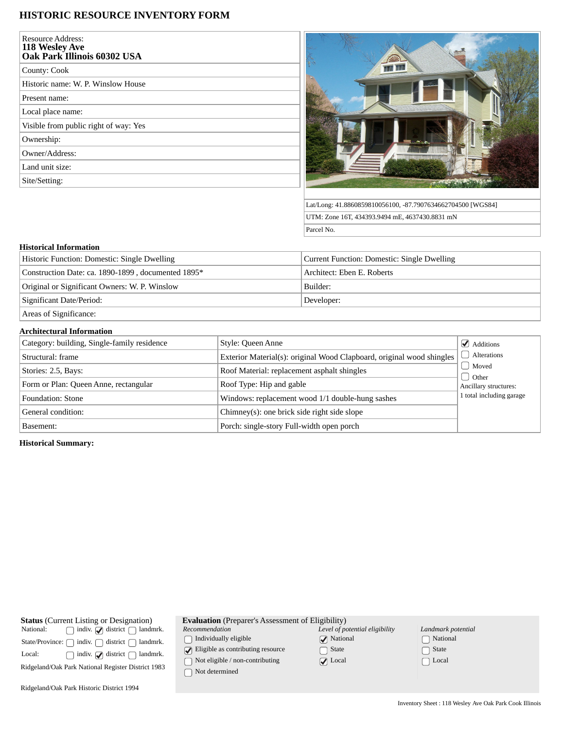## **HISTORIC RESOURCE INVENTORY FORM**

| <b>Resource Address:</b><br>118 Wesley Ave<br>Oak Park Illinois 60302 USA |  |
|---------------------------------------------------------------------------|--|
| County: Cook                                                              |  |
| Historic name: W. P. Winslow House                                        |  |
| Present name:                                                             |  |
| Local place name:                                                         |  |
| Visible from public right of way: Yes                                     |  |
| Ownership:                                                                |  |
| Owner/Address:                                                            |  |
| Land unit size:                                                           |  |
| Site/Setting:                                                             |  |



Lat/Long: 41.8860859810056100, -87.7907634662704500 [WGS84] UTM: Zone 16T, 434393.9494 mE, 4637430.8831 mN Parcel No.

## **Historical Information**

| Historic Function: Domestic: Single Dwelling       | Current Function: Domestic: Single Dwelling |  |
|----------------------------------------------------|---------------------------------------------|--|
| Construction Date: ca. 1890-1899, documented 1895* | Architect: Eben E. Roberts                  |  |
| Original or Significant Owners: W. P. Winslow      | Builder:                                    |  |
| Significant Date/Period:                           | Developer:                                  |  |
| Areas of Significance:                             |                                             |  |

## **Architectural Information**  $\Box$  Category: building, Single-family residence  $S$  Style: Queen Anne  $\Box$  Additions Alterations Moved  $\bigcap$  Other Ancillary structures: 1 total including garage Structural: frame **Exterior Material(s): original Wood Clapboard, original wood shingles** Stories: 2.5, Bays: Roof Material: replacement asphalt shingles Form or Plan: Queen Anne, rectangular Roof Type: Hip and gable Foundation: Stone Windows: replacement wood 1/1 double-hung sashes General condition: Chimney(s): one brick side right side slope Basement: Porch: single-story Full-width open porch

**Historical Summary:**

| <b>Status</b> (Current Listing or Designation)                         |                                               |  |  |  |
|------------------------------------------------------------------------|-----------------------------------------------|--|--|--|
| National:                                                              | $\Box$ indiv. $\Box$ district $\Box$ landmrk. |  |  |  |
| State/Province: $\bigcap$ indiv. $\bigcap$ district $\bigcap$ landmrk. |                                               |  |  |  |
| Local:                                                                 | $\Box$ indiv. $\Box$ district $\Box$ landmrk. |  |  |  |
| Ridgeland/Oak Park National Register District 1983                     |                                               |  |  |  |
|                                                                        |                                               |  |  |  |

**Evaluation** (Preparer's Assessment of Eligibility)

*Recommendation*

 $\bigcap$  Individually eligible

 $\boxed{\blacklozenge}$  Eligible as contributing resource

 $\bigcap$  Not eligible / non-contributing

 $\bigcap$  Not determined

| Level of potential eligibility |
|--------------------------------|
| $\sqrt{\phantom{a}}$ National  |
| $\bigcap$ State                |
| $\blacktriangleright$ Local    |
|                                |

| Landmark potential         |
|----------------------------|
| □ National                 |
| $\lceil \ \rceil$ State    |
| $\lceil \;\; \rceil$ Local |

Ridgeland/Oak Park Historic District 1994